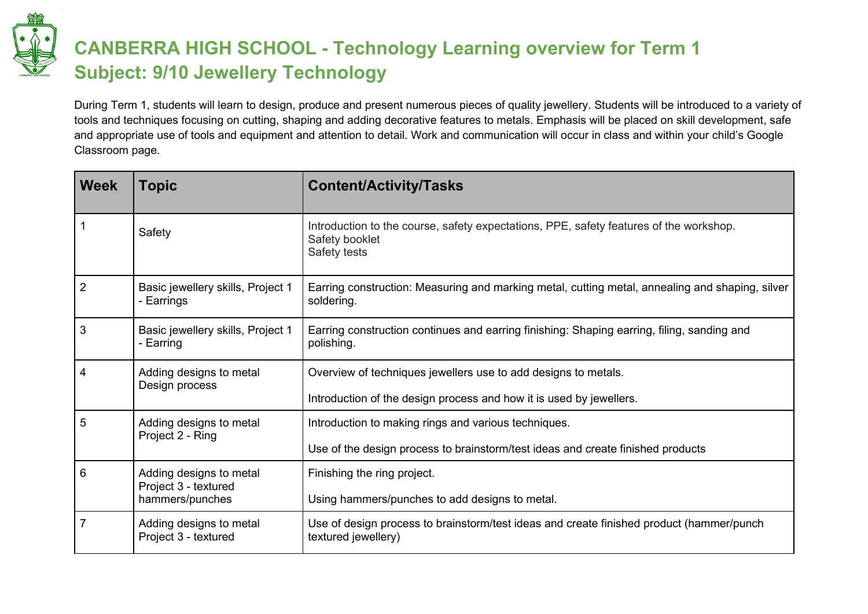

## **CANBERRA HIGH SCHOOL - Technology Learning overview for Term 1 Subject: 9/10 Jewellery Technology**

During Term 1, students will learn to design, produce and present numerous pieces of quality jewellery. Students will be introduced to a variety of tools and techniques focusing on cutting, shaping and adding decorative features to metals. Emphasis will be placed on skill development, safe and appropriate use of tools and equipment and attention to detail. Work and communication will occur in class and within your child's Google Classroom page.

| <b>Week</b> | <b>Topic</b>                                                       | <b>Content/Activity/Tasks</b>                                                                                            |
|-------------|--------------------------------------------------------------------|--------------------------------------------------------------------------------------------------------------------------|
|             | Safety                                                             | Introduction to the course, safety expectations, PPE, safety features of the workshop.<br>Safety booklet<br>Safety tests |
| 2           | Basic jewellery skills, Project 1<br>- Earrings                    | Earring construction: Measuring and marking metal, cutting metal, annealing and shaping, silver<br>soldering.            |
| 3           | Basic jewellery skills, Project 1<br>- Earring                     | Earring construction continues and earring finishing: Shaping earring, filing, sanding and<br>polishing.                 |
| 4           | Adding designs to metal<br>Design process                          | Overview of techniques jewellers use to add designs to metals.                                                           |
|             |                                                                    | Introduction of the design process and how it is used by jewellers.                                                      |
| 5           | Adding designs to metal<br>Project 2 - Ring                        | Introduction to making rings and various techniques.                                                                     |
|             |                                                                    | Use of the design process to brainstorm/test ideas and create finished products                                          |
| 6           | Adding designs to metal<br>Project 3 - textured<br>hammers/punches | Finishing the ring project.                                                                                              |
|             |                                                                    | Using hammers/punches to add designs to metal.                                                                           |
|             | Adding designs to metal<br>Project 3 - textured                    | Use of design process to brainstorm/test ideas and create finished product (hammer/punch<br>textured jewellery)          |